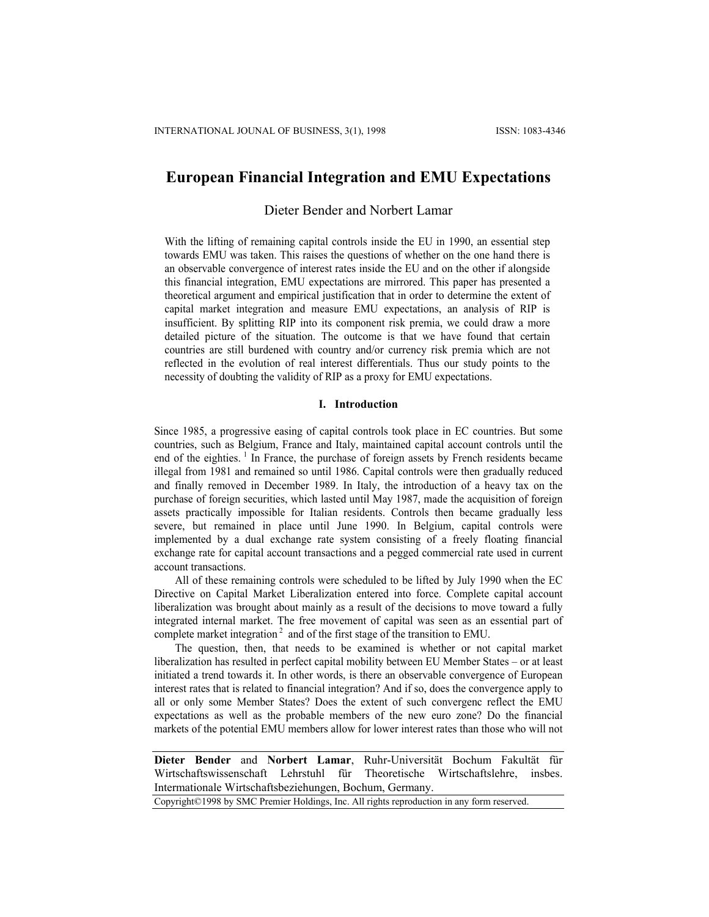# **European Financial Integration and EMU Expectations**

# Dieter Bender and Norbert Lamar

With the lifting of remaining capital controls inside the EU in 1990, an essential step towards EMU was taken. This raises the questions of whether on the one hand there is an observable convergence of interest rates inside the EU and on the other if alongside this financial integration, EMU expectations are mirrored. This paper has presented a theoretical argument and empirical justification that in order to determine the extent of capital market integration and measure EMU expectations, an analysis of RIP is insufficient. By splitting RIP into its component risk premia, we could draw a more detailed picture of the situation. The outcome is that we have found that certain countries are still burdened with country and/or currency risk premia which are not reflected in the evolution of real interest differentials. Thus our study points to the necessity of doubting the validity of RIP as a proxy for EMU expectations.

#### **I. Introduction**

Since 1985, a progressive easing of capital controls took place in EC countries. But some countries, such as Belgium, France and Italy, maintained capital account controls until the end of the eighties.<sup>1</sup> In France, the purchase of foreign assets by French residents became illegal from 1981 and remained so until 1986. Capital controls were then gradually reduced and finally removed in December 1989. In Italy, the introduction of a heavy tax on the purchase of foreign securities, which lasted until May 1987, made the acquisition of foreign assets practically impossible for Italian residents. Controls then became gradually less severe, but remained in place until June 1990. In Belgium, capital controls were implemented by a dual exchange rate system consisting of a freely floating financial exchange rate for capital account transactions and a pegged commercial rate used in current account transactions.

All of these remaining controls were scheduled to be lifted by July 1990 when the EC Directive on Capital Market Liberalization entered into force. Complete capital account liberalization was brought about mainly as a result of the decisions to move toward a fully integrated internal market. The free movement of capital was seen as an essential part of complete market integration<sup>2</sup> and of the first stage of the transition to EMU.

The question, then, that needs to be examined is whether or not capital market liberalization has resulted in perfect capital mobility between EU Member States – or at least initiated a trend towards it. In other words, is there an observable convergence of European interest rates that is related to financial integration? And if so, does the convergence apply to all or only some Member States? Does the extent of such convergenc reflect the EMU expectations as well as the probable members of the new euro zone? Do the financial markets of the potential EMU members allow for lower interest rates than those who will not

**Dieter Bender** and **Norbert Lamar**, Ruhr-Universität Bochum Fakultät für Wirtschaftswissenschaft Lehrstuhl für Theoretische Wirtschaftslehre, insbes. Intermationale Wirtschaftsbeziehungen, Bochum, Germany.

Copyright©1998 by SMC Premier Holdings, Inc. All rights reproduction in any form reserved.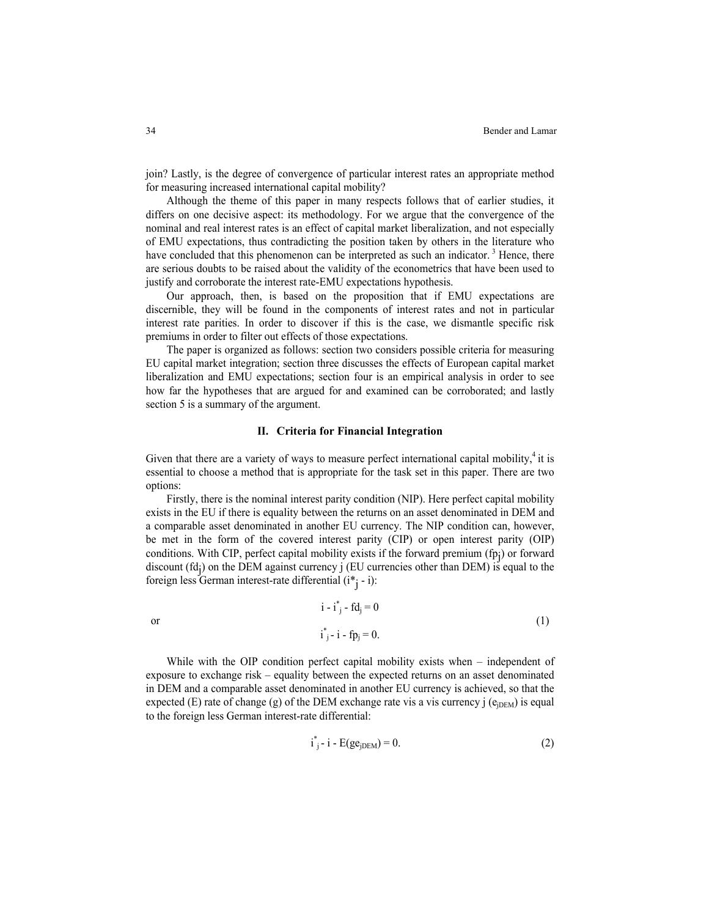join? Lastly, is the degree of convergence of particular interest rates an appropriate method for measuring increased international capital mobility?

Although the theme of this paper in many respects follows that of earlier studies, it differs on one decisive aspect: its methodology. For we argue that the convergence of the nominal and real interest rates is an effect of capital market liberalization, and not especially of EMU expectations, thus contradicting the position taken by others in the literature who have concluded that this phenomenon can be interpreted as such an indicator.<sup>3</sup> Hence, there are serious doubts to be raised about the validity of the econometrics that have been used to justify and corroborate the interest rate-EMU expectations hypothesis.

Our approach, then, is based on the proposition that if EMU expectations are discernible, they will be found in the components of interest rates and not in particular interest rate parities. In order to discover if this is the case, we dismantle specific risk premiums in order to filter out effects of those expectations.

The paper is organized as follows: section two considers possible criteria for measuring EU capital market integration; section three discusses the effects of European capital market liberalization and EMU expectations; section four is an empirical analysis in order to see how far the hypotheses that are argued for and examined can be corroborated; and lastly section 5 is a summary of the argument.

#### **II. Criteria for Financial Integration**

Given that there are a variety of ways to measure perfect international capital mobility, $4$  it is essential to choose a method that is appropriate for the task set in this paper. There are two options:

Firstly, there is the nominal interest parity condition (NIP). Here perfect capital mobility exists in the EU if there is equality between the returns on an asset denominated in DEM and a comparable asset denominated in another EU currency. The NIP condition can, however, be met in the form of the covered interest parity (CIP) or open interest parity (OIP) conditions. With CIP, perfect capital mobility exists if the forward premium (fpj ) or forward discount  $(\text{fd}_j)$  on the DEM against currency j (EU currencies other than DEM) is equal to the foreign less German interest-rate differential (i<sup>\*</sup>j - i):

$$
i - i*j - f dj = 0
$$
  
or  

$$
i*j - i - f pj = 0.
$$
 (1)

While with the OIP condition perfect capital mobility exists when – independent of exposure to exchange risk – equality between the expected returns on an asset denominated in DEM and a comparable asset denominated in another EU currency is achieved, so that the expected (E) rate of change (g) of the DEM exchange rate vis a vis currency j ( $e_{iDEM}$ ) is equal to the foreign less German interest-rate differential:

$$
i_{j}^{*} - i - E(ge_{jDEM}) = 0.
$$
 (2)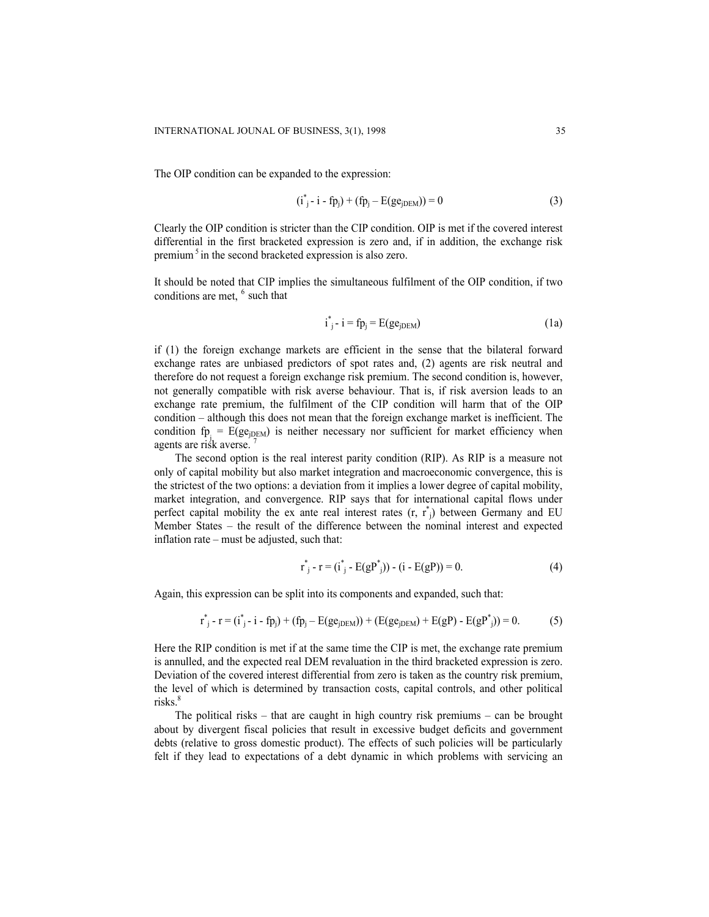The OIP condition can be expanded to the expression:

$$
(i_{j}^{*} - i - fp_{j}) + (fp_{j} - E(ge_{jDEM})) = 0
$$
\n(3)

Clearly the OIP condition is stricter than the CIP condition. OIP is met if the covered interest differential in the first bracketed expression is zero and, if in addition, the exchange risk premium<sup>5</sup> in the second bracketed expression is also zero.

It should be noted that CIP implies the simultaneous fulfilment of the OIP condition, if two conditions are met, <sup>6</sup> such that

$$
i^*_{j} - i = fp_j = E(ge_{jDEM})
$$
 (1a)

if (1) the foreign exchange markets are efficient in the sense that the bilateral forward exchange rates are unbiased predictors of spot rates and, (2) agents are risk neutral and therefore do not request a foreign exchange risk premium. The second condition is, however, not generally compatible with risk averse behaviour. That is, if risk aversion leads to an exchange rate premium, the fulfilment of the CIP condition will harm that of the OIP condition – although this does not mean that the foreign exchange market is inefficient. The condition  $fp<sub>j</sub> = E(ge<sub>jDEM</sub>)$  is neither necessary nor sufficient for market efficiency when agents are risk averse.

The second option is the real interest parity condition (RIP). As RIP is a measure not only of capital mobility but also market integration and macroeconomic convergence, this is the strictest of the two options: a deviation from it implies a lower degree of capital mobility, market integration, and convergence. RIP says that for international capital flows under perfect capital mobility the ex ante real interest rates  $(r, r^*$ <sub>j</sub>) between Germany and EU Member States – the result of the difference between the nominal interest and expected inflation rate – must be adjusted, such that:

$$
r^*_{j} - r = (i^*_{j} - E(gP^*_{j})) - (i - E(gP)) = 0.
$$
 (4)

Again, this expression can be split into its components and expanded, such that:

$$
r_{i}^{*} - r = (i_{i}^{*} - i - fp_{i}) + (fp_{i} - E(ge_{iDEM})) + (E(ge_{iDEM}) + E(gP) - E(gP_{i}^{*})) = 0.
$$
 (5)

Here the RIP condition is met if at the same time the CIP is met, the exchange rate premium is annulled, and the expected real DEM revaluation in the third bracketed expression is zero. Deviation of the covered interest differential from zero is taken as the country risk premium, the level of which is determined by transaction costs, capital controls, and other political risks.<sup>8</sup>

The political risks – that are caught in high country risk premiums – can be brought about by divergent fiscal policies that result in excessive budget deficits and government debts (relative to gross domestic product). The effects of such policies will be particularly felt if they lead to expectations of a debt dynamic in which problems with servicing an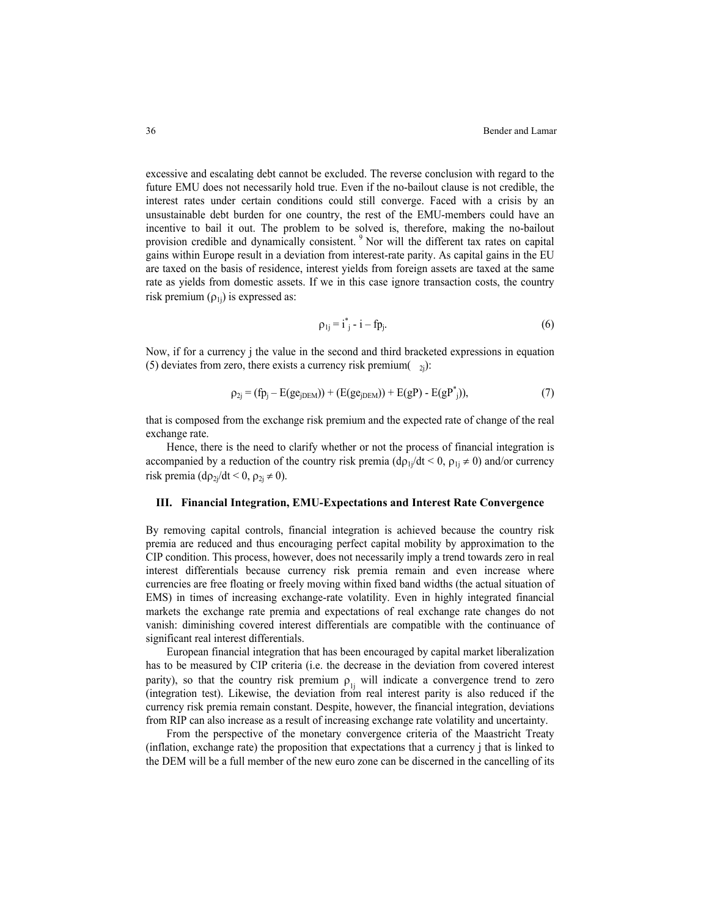excessive and escalating debt cannot be excluded. The reverse conclusion with regard to the future EMU does not necessarily hold true. Even if the no-bailout clause is not credible, the interest rates under certain conditions could still converge. Faced with a crisis by an unsustainable debt burden for one country, the rest of the EMU-members could have an incentive to bail it out. The problem to be solved is, therefore, making the no-bailout provision credible and dynamically consistent.<sup>9</sup> Nor will the different tax rates on capital gains within Europe result in a deviation from interest-rate parity. As capital gains in the EU are taxed on the basis of residence, interest yields from foreign assets are taxed at the same rate as yields from domestic assets. If we in this case ignore transaction costs, the country risk premium  $(\rho_{1i})$  is expressed as:

$$
\rho_{1j} = i^*_{j} - i - fp_{j}.\tag{6}
$$

Now, if for a currency j the value in the second and third bracketed expressions in equation (5) deviates from zero, there exists a currency risk premium $(-2)$ :

$$
\rho_{2i} = (fp_i - E(ge_{iDEM})) + (E(ge_{iDEM})) + E(gP) - E(gP^*_{i})),
$$
\n(7)

that is composed from the exchange risk premium and the expected rate of change of the real exchange rate.

Hence, there is the need to clarify whether or not the process of financial integration is accompanied by a reduction of the country risk premia  $(d\rho_{1i}/dt < 0, \rho_{1i} \neq 0)$  and/or currency risk premia (d $\rho_{2i}/dt < 0$ ,  $\rho_{2i} \neq 0$ ).

#### **III. Financial Integration, EMU-Expectations and Interest Rate Convergence**

By removing capital controls, financial integration is achieved because the country risk premia are reduced and thus encouraging perfect capital mobility by approximation to the CIP condition. This process, however, does not necessarily imply a trend towards zero in real interest differentials because currency risk premia remain and even increase where currencies are free floating or freely moving within fixed band widths (the actual situation of EMS) in times of increasing exchange-rate volatility. Even in highly integrated financial markets the exchange rate premia and expectations of real exchange rate changes do not vanish: diminishing covered interest differentials are compatible with the continuance of significant real interest differentials.

European financial integration that has been encouraged by capital market liberalization has to be measured by CIP criteria (i.e. the decrease in the deviation from covered interest parity), so that the country risk premium  $\rho_{1i}$  will indicate a convergence trend to zero (integration test). Likewise, the deviation from real interest parity is also reduced if the currency risk premia remain constant. Despite, however, the financial integration, deviations from RIP can also increase as a result of increasing exchange rate volatility and uncertainty.

From the perspective of the monetary convergence criteria of the Maastricht Treaty (inflation, exchange rate) the proposition that expectations that a currency j that is linked to the DEM will be a full member of the new euro zone can be discerned in the cancelling of its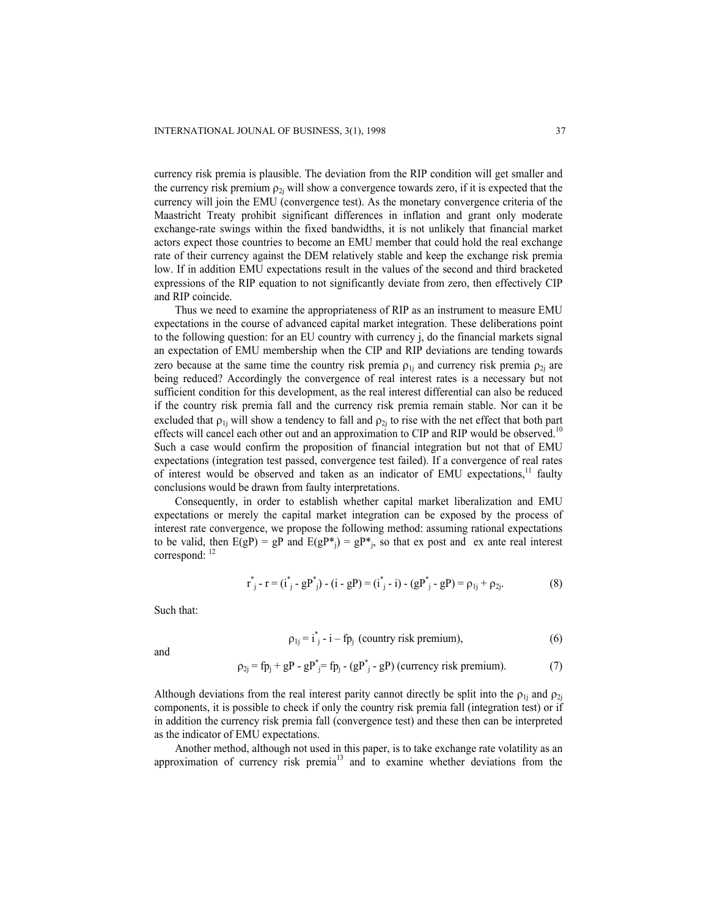currency risk premia is plausible. The deviation from the RIP condition will get smaller and the currency risk premium  $\rho_{2i}$  will show a convergence towards zero, if it is expected that the currency will join the EMU (convergence test). As the monetary convergence criteria of the Maastricht Treaty prohibit significant differences in inflation and grant only moderate exchange-rate swings within the fixed bandwidths, it is not unlikely that financial market actors expect those countries to become an EMU member that could hold the real exchange rate of their currency against the DEM relatively stable and keep the exchange risk premia low. If in addition EMU expectations result in the values of the second and third bracketed expressions of the RIP equation to not significantly deviate from zero, then effectively CIP and RIP coincide.

Thus we need to examine the appropriateness of RIP as an instrument to measure EMU expectations in the course of advanced capital market integration. These deliberations point to the following question: for an EU country with currency j, do the financial markets signal an expectation of EMU membership when the CIP and RIP deviations are tending towards zero because at the same time the country risk premia  $\rho_{1i}$  and currency risk premia  $\rho_{2i}$  are being reduced? Accordingly the convergence of real interest rates is a necessary but not sufficient condition for this development, as the real interest differential can also be reduced if the country risk premia fall and the currency risk premia remain stable. Nor can it be excluded that  $\rho_{1j}$  will show a tendency to fall and  $\rho_{2j}$  to rise with the net effect that both part effects will cancel each other out and an approximation to CIP and RIP would be observed.<sup>10</sup> Such a case would confirm the proposition of financial integration but not that of EMU expectations (integration test passed, convergence test failed). If a convergence of real rates of interest would be observed and taken as an indicator of EMU expectations,<sup>11</sup> faulty conclusions would be drawn from faulty interpretations.

Consequently, in order to establish whether capital market liberalization and EMU expectations or merely the capital market integration can be exposed by the process of interest rate convergence, we propose the following method: assuming rational expectations to be valid, then  $E(gP) = gP$  and  $E(gP^*) = gP^*$ , so that ex post and ex ante real interest correspond:  $12$ 

$$
r^*_{j} - r = (i^*_{j} - gP^*) - (i - gP) = (i^*_{j} - i) - (gP^*) - gP = \rho_{1j} + \rho_{2j}.
$$
 (8)

Such that:

$$
\rho_{1j} = i_{j}^{*} - i - fp_{j} \text{ (country risk premium)}, \tag{6}
$$

and

$$
\rho_{2j} = fp_j + gP - gP^* = fp_j - (gP^* - gP) \text{ (currency risk premium)}.
$$
\n(7)

Although deviations from the real interest parity cannot directly be split into the  $\rho_{1i}$  and  $\rho_{2i}$ components, it is possible to check if only the country risk premia fall (integration test) or if in addition the currency risk premia fall (convergence test) and these then can be interpreted as the indicator of EMU expectations.

Another method, although not used in this paper, is to take exchange rate volatility as an approximation of currency risk premia $13$  and to examine whether deviations from the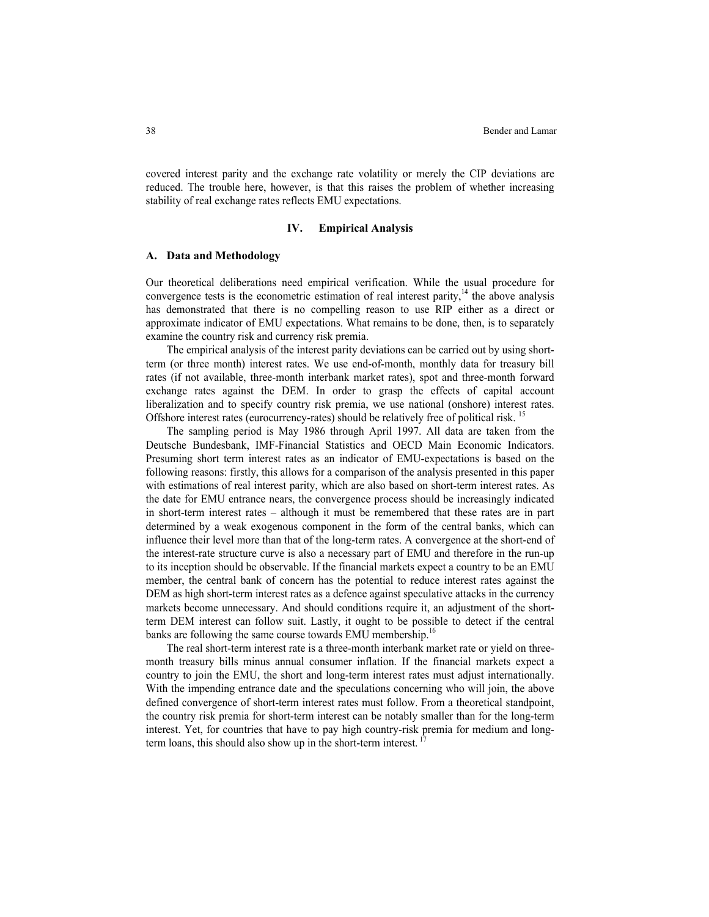covered interest parity and the exchange rate volatility or merely the CIP deviations are reduced. The trouble here, however, is that this raises the problem of whether increasing stability of real exchange rates reflects EMU expectations.

#### **IV. Empirical Analysis**

#### **A. Data and Methodology**

Our theoretical deliberations need empirical verification. While the usual procedure for convergence tests is the econometric estimation of real interest parity, $14$  the above analysis has demonstrated that there is no compelling reason to use RIP either as a direct or approximate indicator of EMU expectations. What remains to be done, then, is to separately examine the country risk and currency risk premia.

The empirical analysis of the interest parity deviations can be carried out by using shortterm (or three month) interest rates. We use end-of-month, monthly data for treasury bill rates (if not available, three-month interbank market rates), spot and three-month forward exchange rates against the DEM. In order to grasp the effects of capital account liberalization and to specify country risk premia, we use national (onshore) interest rates. Offshore interest rates (eurocurrency-rates) should be relatively free of political risk. <sup>15</sup>

The sampling period is May 1986 through April 1997. All data are taken from the Deutsche Bundesbank, IMF-Financial Statistics and OECD Main Economic Indicators. Presuming short term interest rates as an indicator of EMU-expectations is based on the following reasons: firstly, this allows for a comparison of the analysis presented in this paper with estimations of real interest parity, which are also based on short-term interest rates. As the date for EMU entrance nears, the convergence process should be increasingly indicated in short-term interest rates – although it must be remembered that these rates are in part determined by a weak exogenous component in the form of the central banks, which can influence their level more than that of the long-term rates. A convergence at the short-end of the interest-rate structure curve is also a necessary part of EMU and therefore in the run-up to its inception should be observable. If the financial markets expect a country to be an EMU member, the central bank of concern has the potential to reduce interest rates against the DEM as high short-term interest rates as a defence against speculative attacks in the currency markets become unnecessary. And should conditions require it, an adjustment of the shortterm DEM interest can follow suit. Lastly, it ought to be possible to detect if the central banks are following the same course towards EMU membership.<sup>16</sup>

The real short-term interest rate is a three-month interbank market rate or yield on threemonth treasury bills minus annual consumer inflation. If the financial markets expect a country to join the EMU, the short and long-term interest rates must adjust internationally. With the impending entrance date and the speculations concerning who will join, the above defined convergence of short-term interest rates must follow. From a theoretical standpoint, the country risk premia for short-term interest can be notably smaller than for the long-term interest. Yet, for countries that have to pay high country-risk premia for medium and longterm loans, this should also show up in the short-term interest.<sup>17</sup>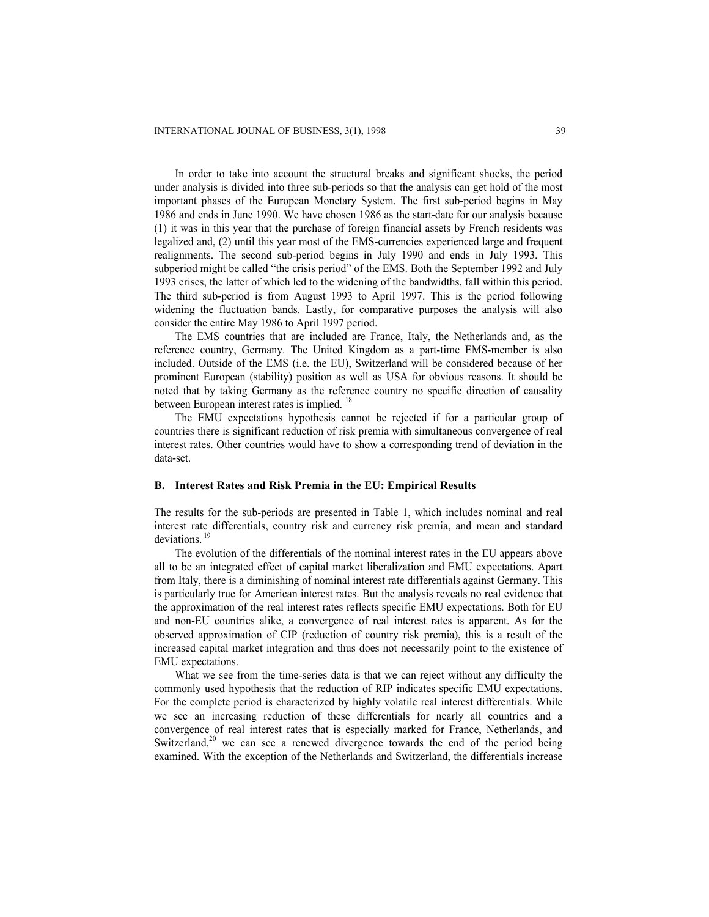In order to take into account the structural breaks and significant shocks, the period under analysis is divided into three sub-periods so that the analysis can get hold of the most important phases of the European Monetary System. The first sub-period begins in May 1986 and ends in June 1990. We have chosen 1986 as the start-date for our analysis because (1) it was in this year that the purchase of foreign financial assets by French residents was legalized and, (2) until this year most of the EMS-currencies experienced large and frequent realignments. The second sub-period begins in July 1990 and ends in July 1993. This subperiod might be called "the crisis period" of the EMS. Both the September 1992 and July 1993 crises, the latter of which led to the widening of the bandwidths, fall within this period. The third sub-period is from August 1993 to April 1997. This is the period following widening the fluctuation bands. Lastly, for comparative purposes the analysis will also consider the entire May 1986 to April 1997 period.

The EMS countries that are included are France, Italy, the Netherlands and, as the reference country, Germany. The United Kingdom as a part-time EMS-member is also included. Outside of the EMS (i.e. the EU), Switzerland will be considered because of her prominent European (stability) position as well as USA for obvious reasons. It should be noted that by taking Germany as the reference country no specific direction of causality between European interest rates is implied. <sup>18</sup>

The EMU expectations hypothesis cannot be rejected if for a particular group of countries there is significant reduction of risk premia with simultaneous convergence of real interest rates. Other countries would have to show a corresponding trend of deviation in the data-set.

#### **B. Interest Rates and Risk Premia in the EU: Empirical Results**

The results for the sub-periods are presented in Table 1, which includes nominal and real interest rate differentials, country risk and currency risk premia, and mean and standard deviations.<sup>19</sup>

The evolution of the differentials of the nominal interest rates in the EU appears above all to be an integrated effect of capital market liberalization and EMU expectations. Apart from Italy, there is a diminishing of nominal interest rate differentials against Germany. This is particularly true for American interest rates. But the analysis reveals no real evidence that the approximation of the real interest rates reflects specific EMU expectations. Both for EU and non-EU countries alike, a convergence of real interest rates is apparent. As for the observed approximation of CIP (reduction of country risk premia), this is a result of the increased capital market integration and thus does not necessarily point to the existence of EMU expectations.

What we see from the time-series data is that we can reject without any difficulty the commonly used hypothesis that the reduction of RIP indicates specific EMU expectations. For the complete period is characterized by highly volatile real interest differentials. While we see an increasing reduction of these differentials for nearly all countries and a convergence of real interest rates that is especially marked for France, Netherlands, and Switzerland.<sup>20</sup> we can see a renewed divergence towards the end of the period being examined. With the exception of the Netherlands and Switzerland, the differentials increase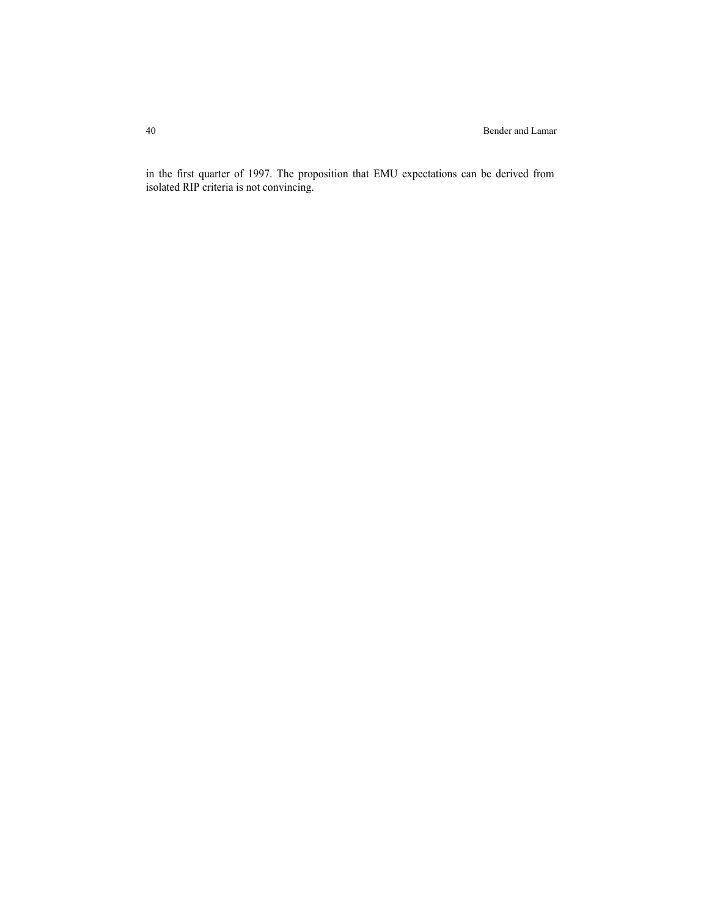in the first quarter of 1997. The proposition that EMU expectations can be derived from isolated RIP criteria is not convincing.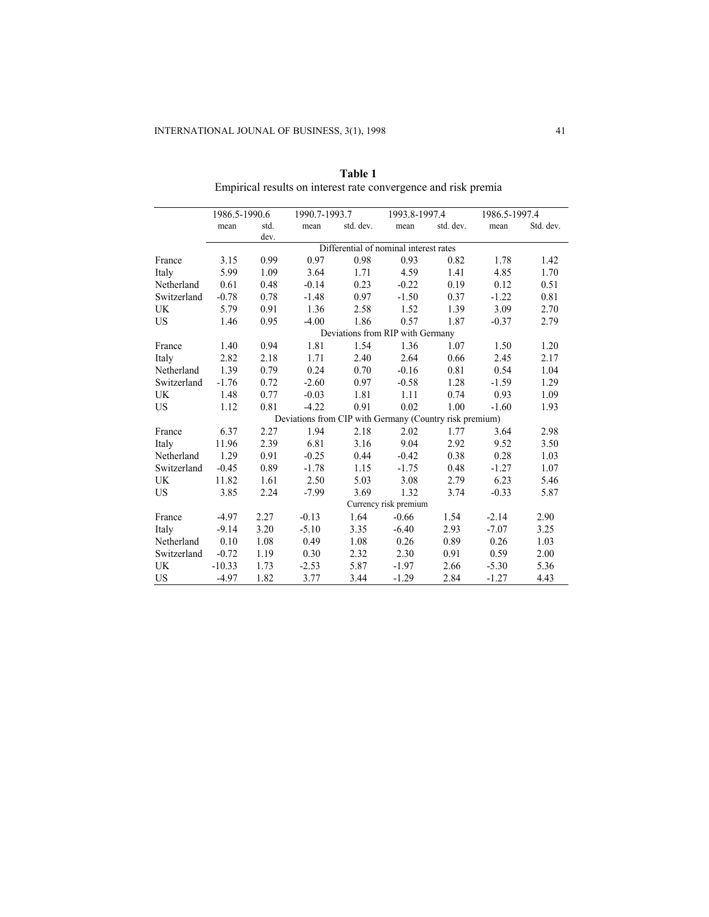|             | 1986.5-1990.6                                           |      | 1990.7-1993.7 |           | 1993.8-1997.4 |           | 1986.5-1997.4 |           |
|-------------|---------------------------------------------------------|------|---------------|-----------|---------------|-----------|---------------|-----------|
|             | mean                                                    | std. | mean          | std. dev. | mean          | std. dev. | mean          | Std. dev. |
|             |                                                         | dev. |               |           |               |           |               |           |
|             | Differential of nominal interest rates                  |      |               |           |               |           |               |           |
| France      | 3.15                                                    | 0.99 | 0.97          | 0.98      | 0.93          | 0.82      | 1.78          | 1.42      |
| Italy       | 5.99                                                    | 1.09 | 3.64          | 1.71      | 4.59          | 1.41      | 4.85          | 1.70      |
| Netherland  | 0.61                                                    | 0.48 | $-0.14$       | 0.23      | $-0.22$       | 0.19      | 0.12          | 0.51      |
| Switzerland | $-0.78$                                                 | 0.78 | $-1.48$       | 0.97      | $-1.50$       | 0.37      | $-1.22$       | 0.81      |
| UK          | 5.79                                                    | 0.91 | 1.36          | 2.58      | 1.52          | 1.39      | 3.09          | 2.70      |
| <b>US</b>   | 1.46                                                    | 0.95 | $-4.00$       | 1.86      | 0.57          | 1.87      | $-0.37$       | 2.79      |
|             | Deviations from RIP with Germany                        |      |               |           |               |           |               |           |
| France      | 1.40                                                    | 0.94 | 1.81          | 1.54      | 1.36          | 1.07      | 1.50          | 1.20      |
| Italy       | 2.82                                                    | 2.18 | 1.71          | 2.40      | 2.64          | 0.66      | 2.45          | 2.17      |
| Netherland  | 1.39                                                    | 0.79 | 0.24          | 0.70      | $-0.16$       | 0.81      | 0.54          | 1.04      |
| Switzerland | $-1.76$                                                 | 0.72 | $-2.60$       | 0.97      | $-0.58$       | 1.28      | $-1.59$       | 1.29      |
| <b>UK</b>   | 1.48                                                    | 0.77 | $-0.03$       | 1.81      | 1.11          | 0.74      | 0.93          | 1.09      |
| <b>US</b>   | 1.12                                                    | 0.81 | $-4.22$       | 0.91      | 0.02          | 1.00      | $-1.60$       | 1.93      |
|             | Deviations from CIP with Germany (Country risk premium) |      |               |           |               |           |               |           |
| France      | 6.37                                                    | 2.27 | 1.94          | 2.18      | 2.02          | 1.77      | 3.64          | 2.98      |
| Italy       | 11.96                                                   | 2.39 | 6.81          | 3.16      | 9.04          | 2.92      | 9.52          | 3.50      |
| Netherland  | 1.29                                                    | 0.91 | $-0.25$       | 0.44      | $-0.42$       | 0.38      | 0.28          | 1.03      |
| Switzerland | $-0.45$                                                 | 0.89 | $-1.78$       | 1.15      | $-1.75$       | 0.48      | $-1.27$       | 1.07      |
| <b>UK</b>   | 11.82                                                   | 1.61 | 2.50          | 5.03      | 3.08          | 2.79      | 6.23          | 5.46      |
| <b>US</b>   | 3.85                                                    | 2.24 | $-7.99$       | 3.69      | 1.32          | 3.74      | $-0.33$       | 5.87      |
|             | Currency risk premium                                   |      |               |           |               |           |               |           |
| France      | $-4.97$                                                 | 2.27 | $-0.13$       | 1.64      | $-0.66$       | 1.54      | $-2.14$       | 2.90      |
| Italy       | $-9.14$                                                 | 3.20 | $-5.10$       | 3.35      | $-6.40$       | 2.93      | $-7.07$       | 3.25      |
| Netherland  | 0.10                                                    | 1.08 | 0.49          | 1.08      | 0.26          | 0.89      | 0.26          | 1.03      |
| Switzerland | $-0.72$                                                 | 1.19 | 0.30          | 2.32      | 2.30          | 0.91      | 0.59          | 2.00      |
| <b>UK</b>   | $-10.33$                                                | 1.73 | $-2.53$       | 5.87      | $-1.97$       | 2.66      | $-5.30$       | 5.36      |
| <b>US</b>   | $-4.97$                                                 | 1.82 | 3.77          | 3.44      | $-1.29$       | 2.84      | $-1.27$       | 4.43      |

**Table 1** Empirical results on interest rate convergence and risk premia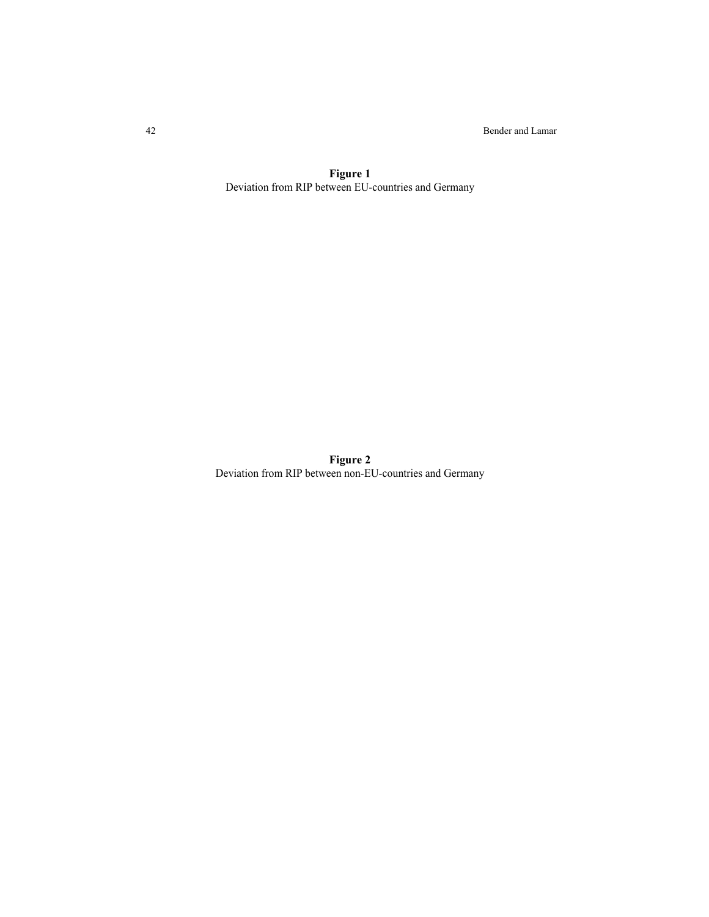42 Bender and Lamar

**Figure 1** Deviation from RIP between EU-countries and Germany

**Figure 2** Deviation from RIP between non-EU-countries and Germany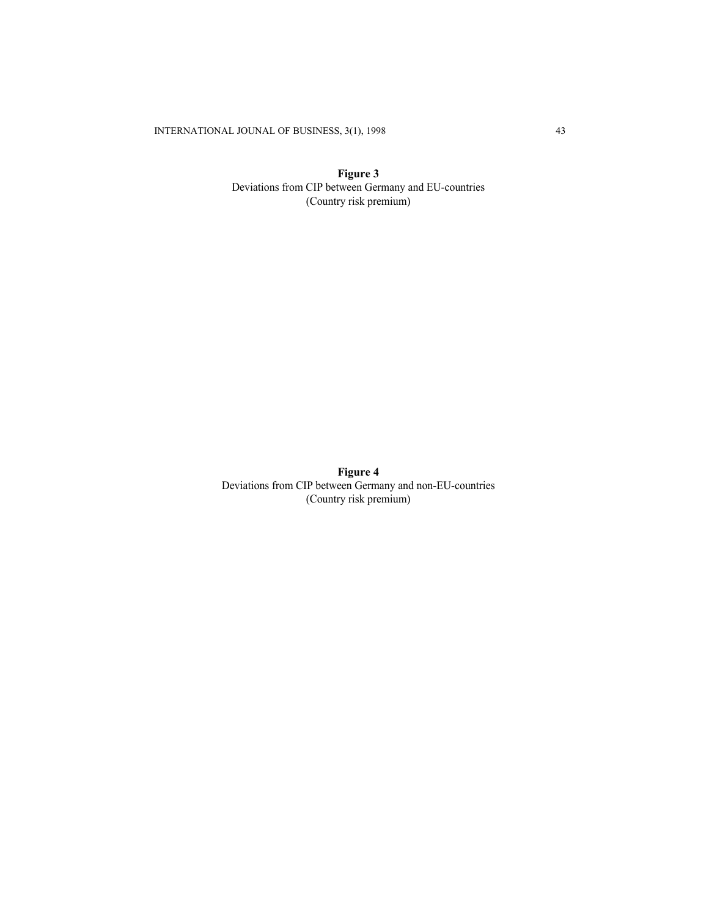INTERNATIONAL JOUNAL OF BUSINESS, 3(1), 1998 43

**Figure 3** Deviations from CIP between Germany and EU-countries (Country risk premium)

**Figure 4** Deviations from CIP between Germany and non-EU-countries (Country risk premium)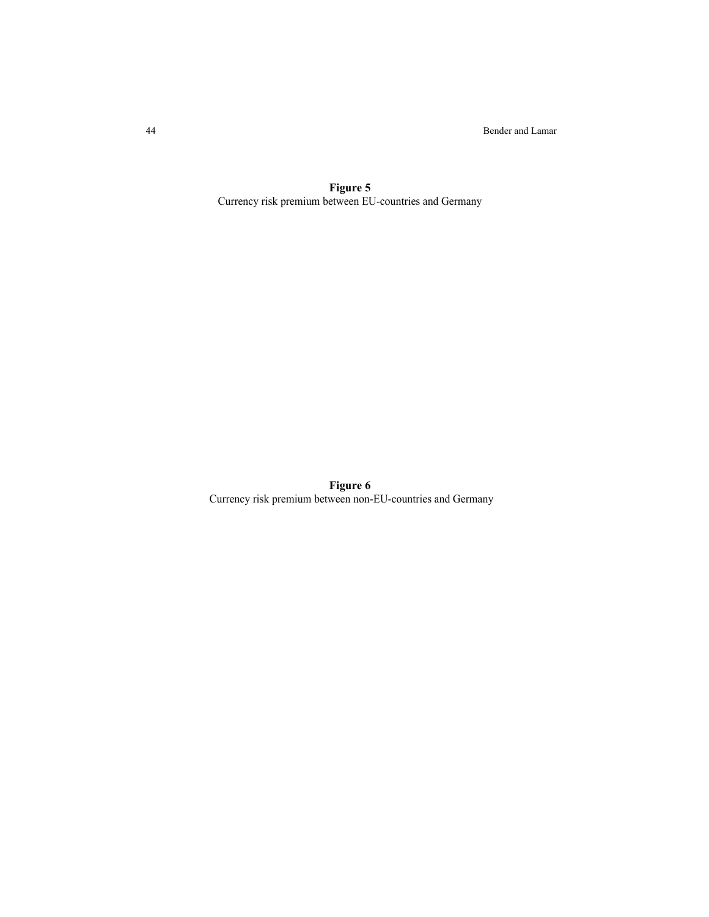44 Bender and Lamar

**Figure 5** Currency risk premium between EU-countries and Germany

**Figure 6** Currency risk premium between non-EU-countries and Germany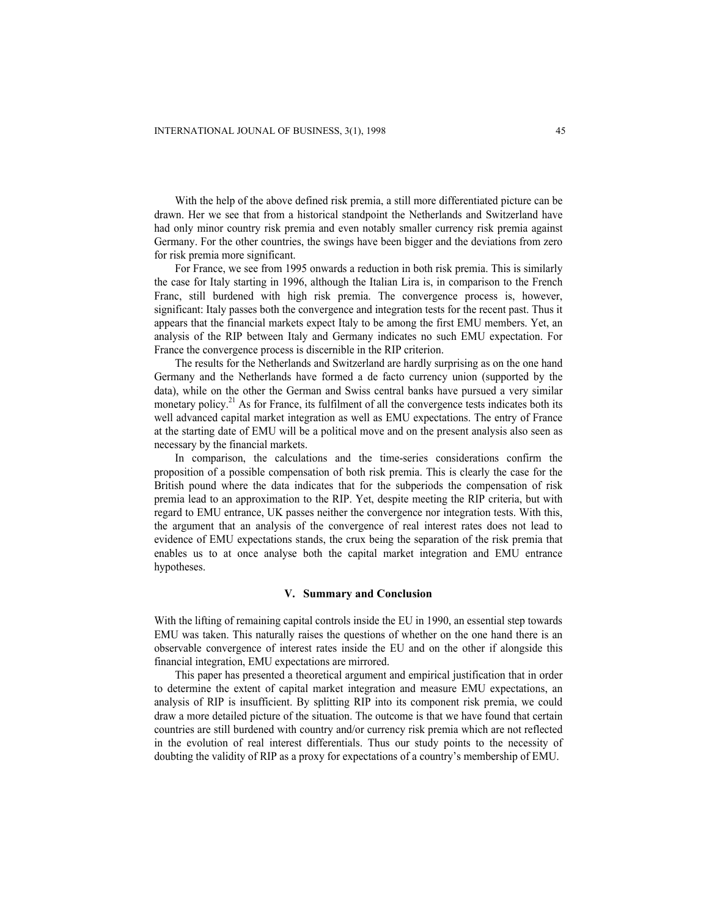With the help of the above defined risk premia, a still more differentiated picture can be drawn. Her we see that from a historical standpoint the Netherlands and Switzerland have had only minor country risk premia and even notably smaller currency risk premia against Germany. For the other countries, the swings have been bigger and the deviations from zero for risk premia more significant.

For France, we see from 1995 onwards a reduction in both risk premia. This is similarly the case for Italy starting in 1996, although the Italian Lira is, in comparison to the French Franc, still burdened with high risk premia. The convergence process is, however, significant: Italy passes both the convergence and integration tests for the recent past. Thus it appears that the financial markets expect Italy to be among the first EMU members. Yet, an analysis of the RIP between Italy and Germany indicates no such EMU expectation. For France the convergence process is discernible in the RIP criterion.

The results for the Netherlands and Switzerland are hardly surprising as on the one hand Germany and the Netherlands have formed a de facto currency union (supported by the data), while on the other the German and Swiss central banks have pursued a very similar monetary policy.<sup>21</sup> As for France, its fulfilment of all the convergence tests indicates both its well advanced capital market integration as well as EMU expectations. The entry of France at the starting date of EMU will be a political move and on the present analysis also seen as necessary by the financial markets.

In comparison, the calculations and the time-series considerations confirm the proposition of a possible compensation of both risk premia. This is clearly the case for the British pound where the data indicates that for the subperiods the compensation of risk premia lead to an approximation to the RIP. Yet, despite meeting the RIP criteria, but with regard to EMU entrance, UK passes neither the convergence nor integration tests. With this, the argument that an analysis of the convergence of real interest rates does not lead to evidence of EMU expectations stands, the crux being the separation of the risk premia that enables us to at once analyse both the capital market integration and EMU entrance hypotheses.

### **V. Summary and Conclusion**

With the lifting of remaining capital controls inside the EU in 1990, an essential step towards EMU was taken. This naturally raises the questions of whether on the one hand there is an observable convergence of interest rates inside the EU and on the other if alongside this financial integration, EMU expectations are mirrored.

This paper has presented a theoretical argument and empirical justification that in order to determine the extent of capital market integration and measure EMU expectations, an analysis of RIP is insufficient. By splitting RIP into its component risk premia, we could draw a more detailed picture of the situation. The outcome is that we have found that certain countries are still burdened with country and/or currency risk premia which are not reflected in the evolution of real interest differentials. Thus our study points to the necessity of doubting the validity of RIP as a proxy for expectations of a country's membership of EMU.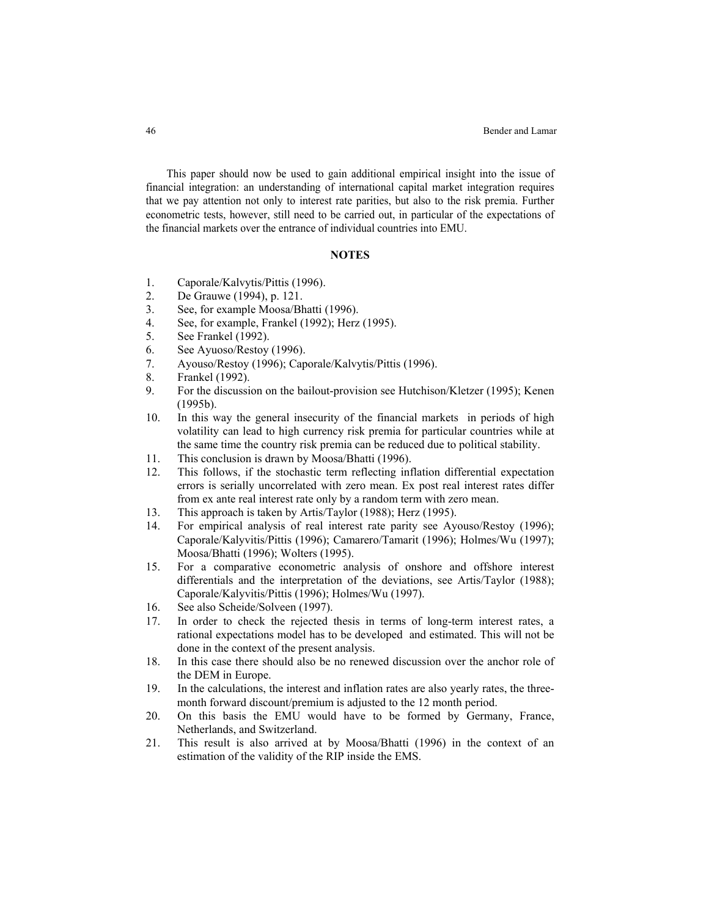This paper should now be used to gain additional empirical insight into the issue of financial integration: an understanding of international capital market integration requires that we pay attention not only to interest rate parities, but also to the risk premia. Further econometric tests, however, still need to be carried out, in particular of the expectations of the financial markets over the entrance of individual countries into EMU.

## **NOTES**

- 1. Caporale/Kalvytis/Pittis (1996).
- 2. De Grauwe (1994), p. 121.
- 3. See, for example Moosa/Bhatti (1996).
- 4. See, for example, Frankel (1992); Herz (1995).
- 5. See Frankel (1992).
- 6. See Ayuoso/Restoy (1996).
- 7. Ayouso/Restoy (1996); Caporale/Kalvytis/Pittis (1996).
- 8. Frankel (1992).
- 9. For the discussion on the bailout-provision see Hutchison/Kletzer (1995); Kenen (1995b).
- 10. In this way the general insecurity of the financial markets in periods of high volatility can lead to high currency risk premia for particular countries while at the same time the country risk premia can be reduced due to political stability.
- 11. This conclusion is drawn by Moosa/Bhatti (1996).
- 12. This follows, if the stochastic term reflecting inflation differential expectation errors is serially uncorrelated with zero mean. Ex post real interest rates differ from ex ante real interest rate only by a random term with zero mean.
- 13. This approach is taken by Artis/Taylor (1988); Herz (1995).
- 14. For empirical analysis of real interest rate parity see Ayouso/Restoy (1996); Caporale/Kalyvitis/Pittis (1996); Camarero/Tamarit (1996); Holmes/Wu (1997); Moosa/Bhatti (1996); Wolters (1995).
- 15. For a comparative econometric analysis of onshore and offshore interest differentials and the interpretation of the deviations, see Artis/Taylor (1988); Caporale/Kalyvitis/Pittis (1996); Holmes/Wu (1997).
- 16. See also Scheide/Solveen (1997).
- 17. In order to check the rejected thesis in terms of long-term interest rates, a rational expectations model has to be developed and estimated. This will not be done in the context of the present analysis.
- 18. In this case there should also be no renewed discussion over the anchor role of the DEM in Europe.
- 19. In the calculations, the interest and inflation rates are also yearly rates, the threemonth forward discount/premium is adjusted to the 12 month period.
- 20. On this basis the EMU would have to be formed by Germany, France, Netherlands, and Switzerland.
- 21. This result is also arrived at by Moosa/Bhatti (1996) in the context of an estimation of the validity of the RIP inside the EMS.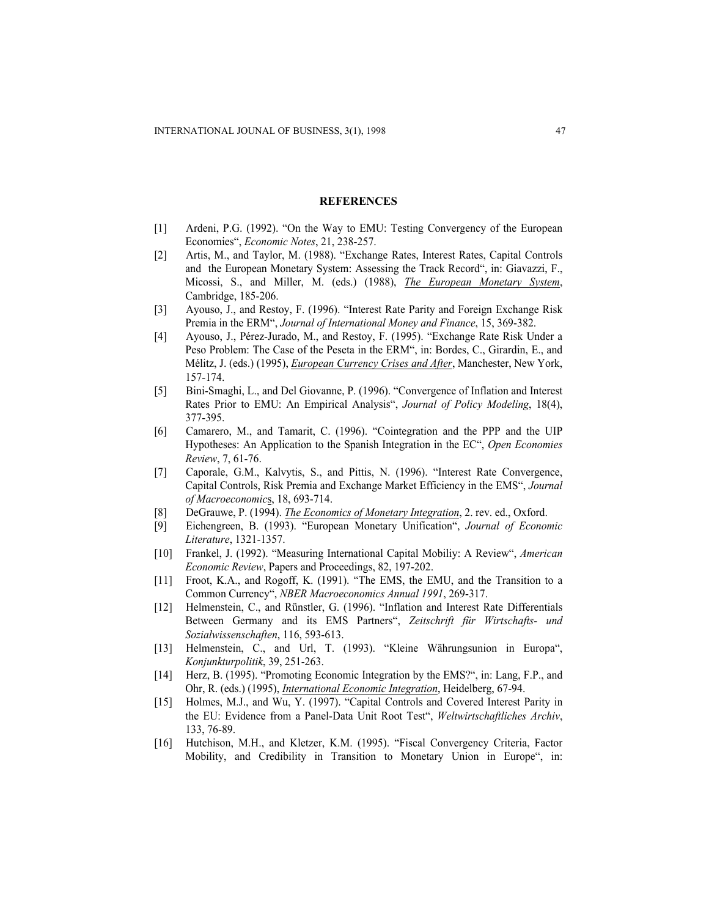#### **REFERENCES**

- [1] Ardeni, P.G. (1992). "On the Way to EMU: Testing Convergency of the European Economies", *Economic Notes*, 21, 238-257.
- [2] Artis, M., and Taylor, M. (1988). "Exchange Rates, Interest Rates, Capital Controls and the European Monetary System: Assessing the Track Record", in: Giavazzi, F., Micossi, S., and Miller, M. (eds.) (1988), *The European Monetary System*, Cambridge, 185-206.
- [3] Ayouso, J., and Restoy, F. (1996). "Interest Rate Parity and Foreign Exchange Risk Premia in the ERM", *Journal of International Money and Finance*, 15, 369-382.
- [4] Ayouso, J., Pérez-Jurado, M., and Restoy, F. (1995). "Exchange Rate Risk Under a Peso Problem: The Case of the Peseta in the ERM", in: Bordes, C., Girardin, E., and Mélitz, J. (eds.) (1995), *European Currency Crises and After*, Manchester, New York, 157-174.
- [5] Bini-Smaghi, L., and Del Giovanne, P. (1996). "Convergence of Inflation and Interest Rates Prior to EMU: An Empirical Analysis", *Journal of Policy Modeling*, 18(4), 377-395.
- [6] Camarero, M., and Tamarit, C. (1996). "Cointegration and the PPP and the UIP Hypotheses: An Application to the Spanish Integration in the EC", *Open Economies Review*, 7, 61-76.
- [7] Caporale, G.M., Kalvytis, S., and Pittis, N. (1996). "Interest Rate Convergence, Capital Controls, Risk Premia and Exchange Market Efficiency in the EMS", *Journal of Macroeconomic*s, 18, 693-714.
- [8] DeGrauwe, P. (1994). *The Economics of Monetary Integration*, 2. rev. ed., Oxford.
- [9] Eichengreen, B. (1993). "European Monetary Unification", *Journal of Economic Literature*, 1321-1357.
- [10] Frankel, J. (1992). "Measuring International Capital Mobiliy: A Review", *American Economic Review*, Papers and Proceedings, 82, 197-202.
- [11] Froot, K.A., and Rogoff, K. (1991). "The EMS, the EMU, and the Transition to a Common Currency", *NBER Macroeconomics Annual 1991*, 269-317.
- [12] Helmenstein, C., and Rünstler, G. (1996). "Inflation and Interest Rate Differentials Between Germany and its EMS Partners", *Zeitschrift für Wirtschafts- und Sozialwissenschaften*, 116, 593-613.
- [13] Helmenstein, C., and Url, T. (1993). "Kleine Währungsunion in Europa", *Konjunkturpolitik*, 39, 251-263.
- [14] Herz, B. (1995). "Promoting Economic Integration by the EMS?", in: Lang, F.P., and Ohr, R. (eds.) (1995), *International Economic Integration*, Heidelberg, 67-94.
- [15] Holmes, M.J., and Wu, Y. (1997). "Capital Controls and Covered Interest Parity in the EU: Evidence from a Panel-Data Unit Root Test", *Weltwirtschaftliches Archiv*, 133, 76-89.
- [16] Hutchison, M.H., and Kletzer, K.M. (1995). "Fiscal Convergency Criteria, Factor Mobility, and Credibility in Transition to Monetary Union in Europe", in: